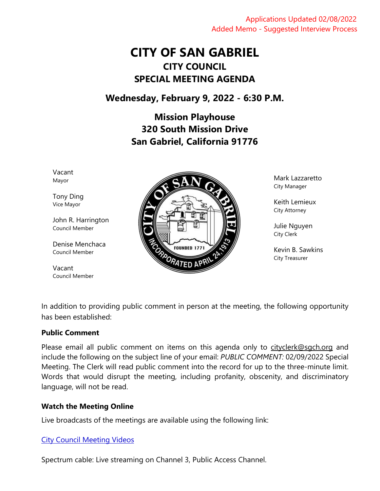Applications Updated 02/08/2022 Added Memo - Suggested Interview Process

# **CITY OF SAN GABRIEL CITY COUNCIL SPECIAL MEETING AGENDA**

# **Wednesday, February 9, 2022 - 6:30 P.M.**

**Mission Playhouse 320 South Mission Drive San Gabriel, California 91776**

Vacant Mayor

Tony Ding Vice Mayor

John R. Harrington Council Member

Denise Menchaca Council Member

Vacant Council Member



Mark Lazzaretto City Manager

Keith Lemieux City Attorney

Julie Nguyen City Clerk

Kevin B. Sawkins City Treasurer

In addition to providing public comment in person at the meeting, the following opportunity has been established:

# **Public Comment**

Please email all public comment on items on this agenda only to [cityclerk@sgch.org](mailto:cityclerk@sgch.org) and include the following on the subject line of your email: *PUBLIC COMMENT:* 02/09/2022 Special Meeting. The Clerk will read public comment into the record for up to the three-minute limit. Words that would disrupt the meeting, including profanity, obscenity, and discriminatory language, will not be read.

# **Watch the Meeting Online**

Live broadcasts of the meetings are available using the following link:

# [City Council Meeting Videos](https://www.youtube.com/CityofSanGabriel)

Spectrum cable: Live streaming on Channel 3, Public Access Channel.